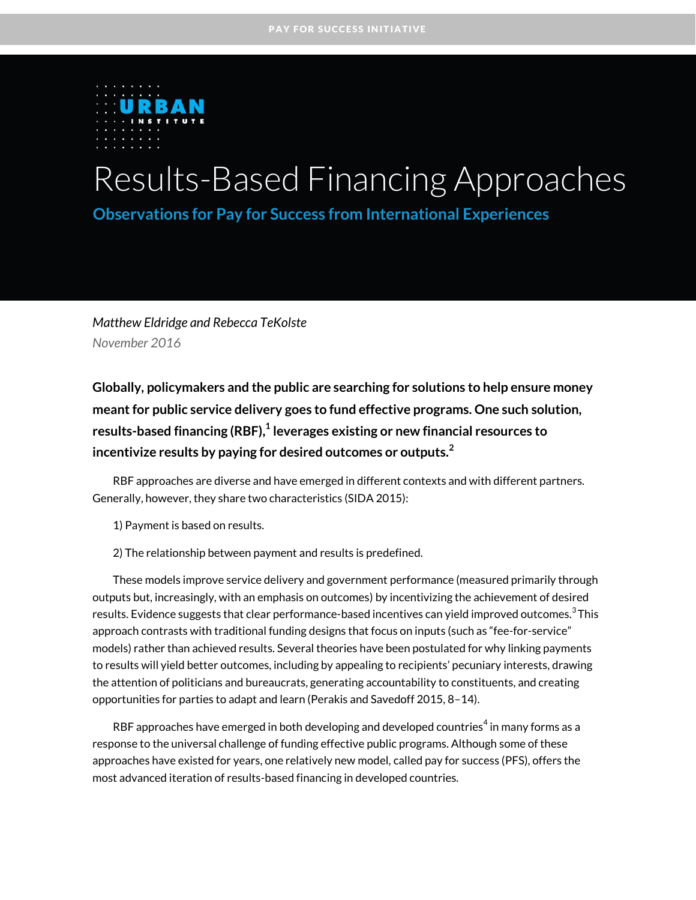

# Results-Based Financing Approaches

**Observations for Pay for Success from International Experiences**

*Matthew Eldridge and Rebecca TeKolste November 2016*

**Globally, policymakers and the public are searching for solutions to help ensure money meant for public service delivery goes to fund effective programs. One such solution, results-based financing (RBF), [1](#page-12-0) leverages existing or new financial resources to incentivize results by paying for desired outcomes or outputs.[2](#page-12-1)**

RBF approaches are diverse and have emerged in different contexts and with different partners. Generally, however, they share two characteristics (SIDA 2015):

1) Payment is based on results.

2) The relationship between payment and results is predefined.

These models improve service delivery and government performance (measured primarily through outputs but, increasingly, with an emphasis on outcomes) by incentivizing the achievement of desired results. Evidence suggests that clear performance-based incentives can yield improved outcomes. $^3$  $^3$ This approach contrasts with traditional funding designs that focus on inputs (such as "fee-for-service" models) rather than achieved results. Several theories have been postulated for why linking payments to results will yield better outcomes, including by appealing to recipients' pecuniary interests, drawing the attention of politicians and bureaucrats, generating accountability to constituents, and creating opportunities for parties to adapt and learn (Perakis and Savedoff 2015, 8–14).

RBF approaches have emerged in both developing and developed countries $^4$  $^4$  in many forms as a response to the universal challenge of funding effective public programs. Although some of these approaches have existed for years, one relatively new model, called pay for success (PFS), offers the most advanced iteration of results-based financing in developed countries.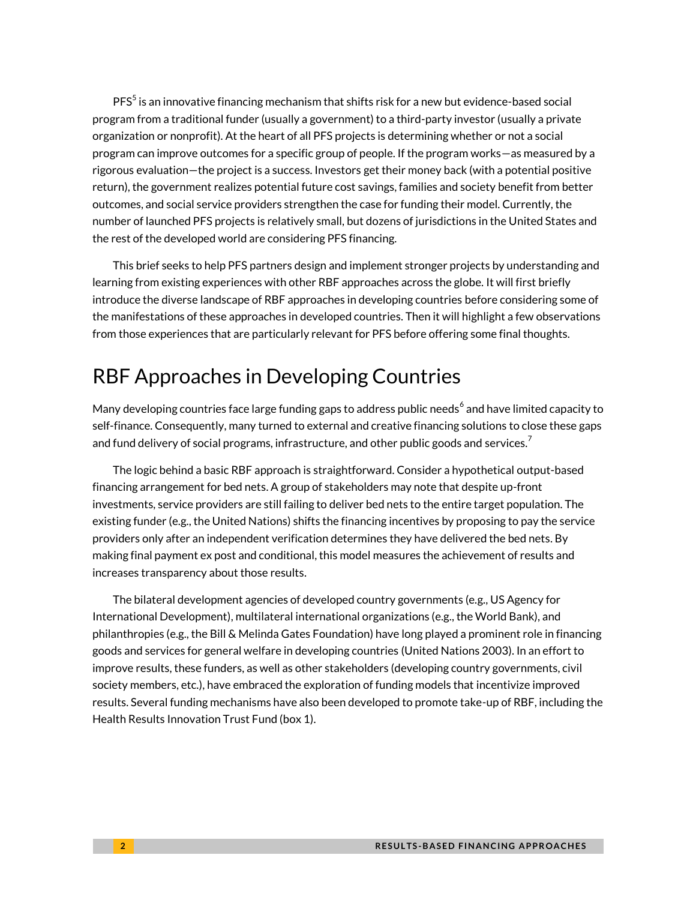$\mathsf{PFS}^5$  $\mathsf{PFS}^5$  is an innovative financing mechanism that shifts risk for a new but evidence-based social program from a traditional funder (usually a government) to a third-party investor (usually a private organization or nonprofit). At the heart of all PFS projects is determining whether or not a social program can improve outcomes for a specific group of people. If the program works—as measured by a rigorous evaluation—the project is a success. Investors get their money back (with a potential positive return), the government realizes potential future cost savings, families and society benefit from better outcomes, and social service providers strengthen the case for funding their model. Currently, the number of launched PFS projects is relatively small, but dozens of jurisdictions in the United States and the rest of the developed world are considering PFS financing.

This brief seeks to help PFS partners design and implement stronger projects by understanding and learning from existing experiences with other RBF approaches across the globe. It will first briefly introduce the diverse landscape of RBF approaches in developing countries before considering some of the manifestations of these approaches in developed countries. Then it will highlight a few observations from those experiences that are particularly relevant for PFS before offering some final thoughts.

# RBF Approaches in Developing Countries

Many developing countries face large funding gaps to address public needs<sup>[6](#page-13-1)</sup> and have limited capacity to self-finance. Consequently, many turned to external and creative financing solutions to close these gaps and fund delivery of social programs, infrastructure, and other public goods and services. $^7$  $^7$ 

The logic behind a basic RBF approach is straightforward. Consider a hypothetical output-based financing arrangement for bed nets. A group of stakeholders may note that despite up-front investments, service providers are still failing to deliver bed nets to the entire target population. The existing funder (e.g., the United Nations) shifts the financing incentives by proposing to pay the service providers only after an independent verification determines they have delivered the bed nets. By making final payment ex post and conditional, this model measures the achievement of results and increases transparency about those results.

The bilateral development agencies of developed country governments (e.g., US Agency for International Development), multilateral international organizations (e.g., the World Bank), and philanthropies (e.g., the Bill & Melinda Gates Foundation) have long played a prominent role in financing goods and services for general welfare in developing countries (United Nations 2003). In an effort to improve results, these funders, as well as other stakeholders (developing country governments, civil society members, etc.), have embraced the exploration of funding models that incentivize improved results. Several funding mechanisms have also been developed to promote take-up of RBF, including the Health Results Innovation Trust Fund (box 1).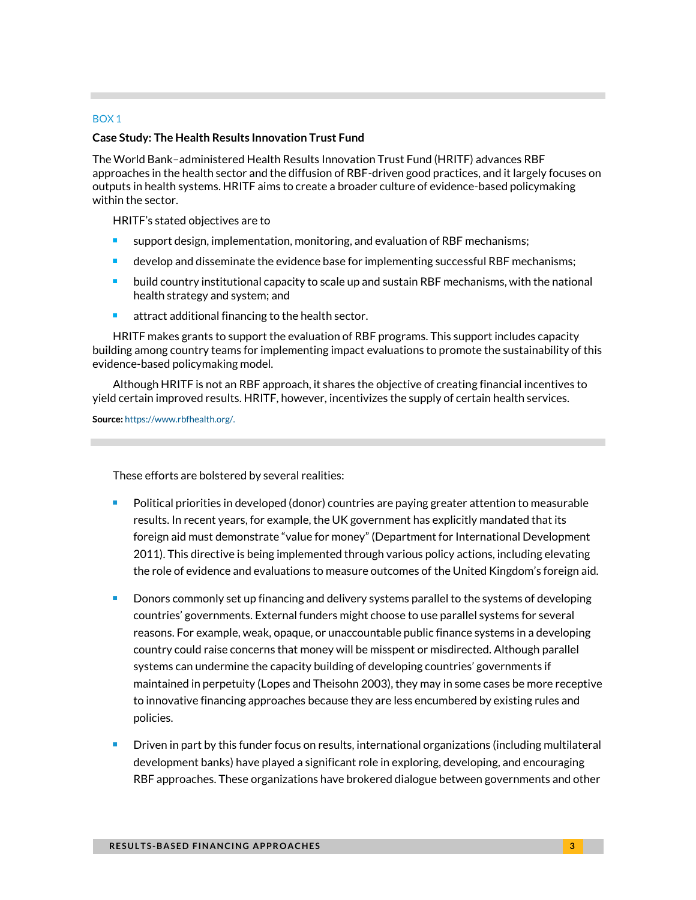#### BOX 1

#### **Case Study: The Health Results Innovation Trust Fund**

The World Bank–administered Health Results Innovation Trust Fund (HRITF) advances RBF approaches in the health sector and the diffusion of RBF-driven good practices, and it largely focuses on outputs in health systems. HRITF aims to create a broader culture of evidence-based policymaking within the sector.

HRITF's stated objectives are to

- support design, implementation, monitoring, and evaluation of RBF mechanisms;
- develop and disseminate the evidence base for implementing successful RBF mechanisms;
- build country institutional capacity to scale up and sustain RBF mechanisms, with the national health strategy and system; and
- $\blacksquare$  attract additional financing to the health sector.

HRITF makes grants to support the evaluation of RBF programs. This support includes capacity building among country teams for implementing impact evaluations to promote the sustainability of this evidence-based policymaking model.

Although HRITF is not an RBF approach, it shares the objective of creating financial incentives to yield certain improved results. HRITF, however, incentivizes the supply of certain health services.

**Source:** [https://www.rbfhealth.org/.](https://www.rbfhealth.org/)

These efforts are bolstered by several realities:

- Political priorities in developed (donor) countries are paying greater attention to measurable results. In recent years, for example, the UK government has explicitly mandated that its foreign aid must demonstrate "value for money" (Department for International Development 2011). This directive is being implemented through various policy actions, including elevating the role of evidence and evaluations to measure outcomes of the United Kingdom's foreign aid.
- Donors commonly set up financing and delivery systems parallel to the systems of developing countries' governments. External funders might choose to use parallel systems for several reasons. For example, weak, opaque, or unaccountable public finance systems in a developing country could raise concerns that money will be misspent or misdirected. Although parallel systems can undermine the capacity building of developing countries' governments if maintained in perpetuity (Lopes and Theisohn 2003), they may in some cases be more receptive to innovative financing approaches because they are less encumbered by existing rules and policies.
- Driven in part by this funder focus on results, international organizations (including multilateral development banks) have played a significant role in exploring, developing, and encouraging RBF approaches. These organizations have brokered dialogue between governments and other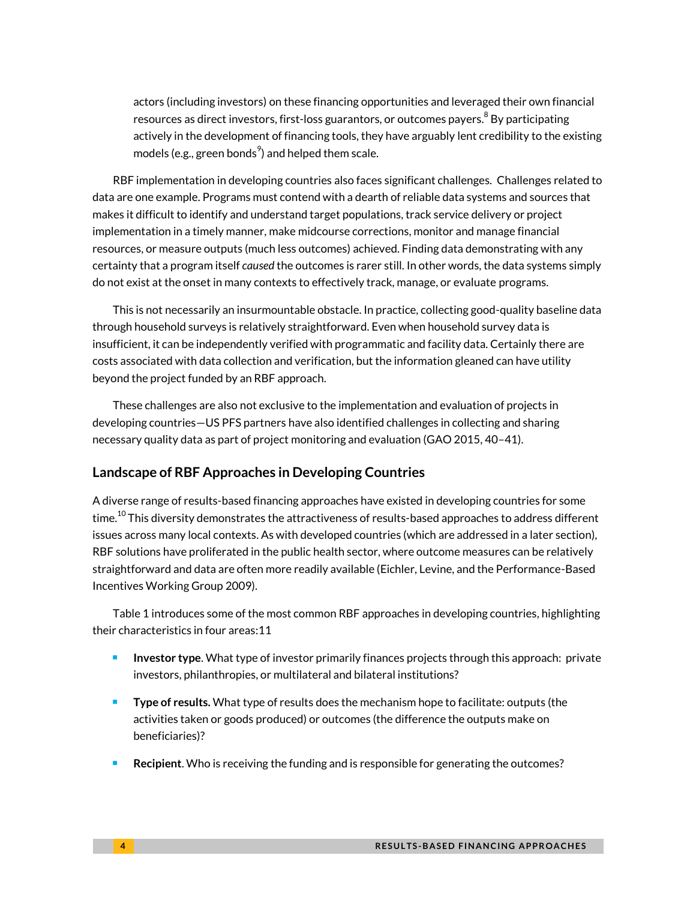actors (including investors) on these financing opportunities and leveraged their own financial resources as direct investors, first-loss guarantors, or outcomes payers. $^8$  $^8$  By participating actively in the development of financing tools, they have arguably lent credibility to the existing models (e.g., green bonds $^{\rm 9}$  $^{\rm 9}$  $^{\rm 9}$ ) and helped them scale.

RBF implementation in developing countries also faces significant challenges. Challenges related to data are one example. Programs must contend with a dearth of reliable data systems and sources that makes it difficult to identify and understand target populations, track service delivery or project implementation in a timely manner, make midcourse corrections, monitor and manage financial resources, or measure outputs (much less outcomes) achieved. Finding data demonstrating with any certainty that a program itself *caused* the outcomes is rarer still. In other words, the data systems simply do not exist at the onset in many contexts to effectively track, manage, or evaluate programs.

This is not necessarily an insurmountable obstacle. In practice, collecting good-quality baseline data through household surveys is relatively straightforward. Even when household survey data is insufficient, it can be independently verified with programmatic and facility data. Certainly there are costs associated with data collection and verification, but the information gleaned can have utility beyond the project funded by an RBF approach.

These challenges are also not exclusive to the implementation and evaluation of projects in developing countries—US PFS partners have also identified challenges in collecting and sharing necessary quality data as part of project monitoring and evaluation (GAO 2015, 40–41).

#### **Landscape of RBF Approaches in Developing Countries**

A diverse range of results-based financing approaches have existed in developing countries for some time. $^{\rm 10}$  $^{\rm 10}$  $^{\rm 10}$  This diversity demonstrates the attractiveness of results-based approaches to address different issues across many local contexts. As with developed countries (which are addressed in a later section), RBF solutions have proliferated in the public health sector, where outcome measures can be relatively straightforward and data are often more readily available (Eichler, Levine, and the Performance-Based Incentives Working Group 2009).

Table 1 introduces some of the most common RBF approaches in developing countries, highlighting their characteristics in four areas[:11](#page-13-6)

- **Investor type.** What type of investor primarily finances projects through this approach: private investors, philanthropies, or multilateral and bilateral institutions?
- **Type of results.** What type of results does the mechanism hope to facilitate: outputs (the activities taken or goods produced) or outcomes (the difference the outputs make on beneficiaries)?
- **Recipient**. Who is receiving the funding and is responsible for generating the outcomes?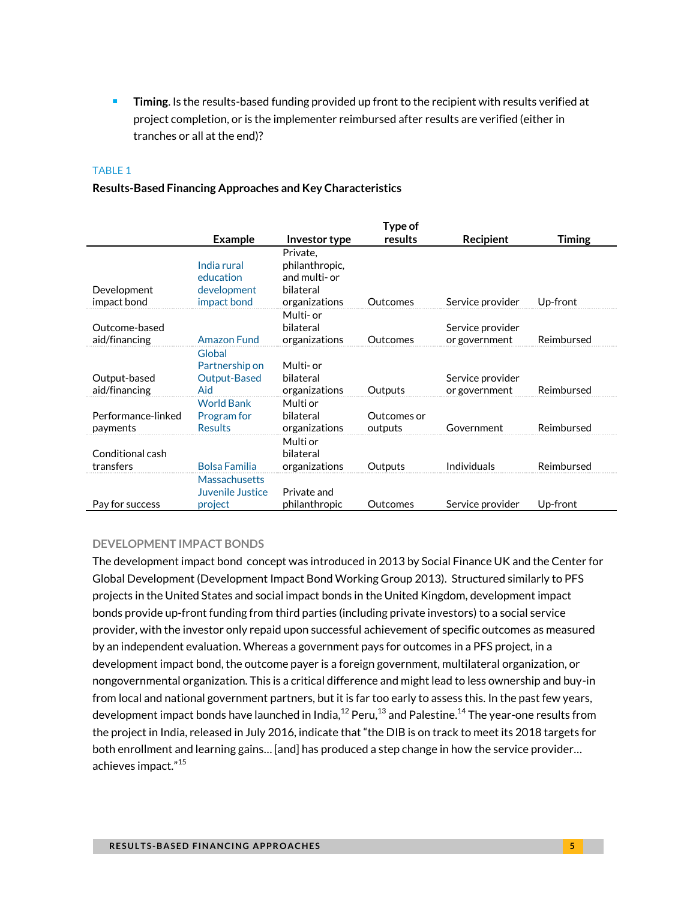**Timing**. Is the results-based funding provided up front to the recipient with results verified at project completion, or is the implementer reimbursed after results are verified (either in tranches or all at the end)?

#### TABLE 1

#### **Results-Based Financing Approaches and Key Characteristics**

|                                |                                                        |                                                                           | Type of                |                                   |               |
|--------------------------------|--------------------------------------------------------|---------------------------------------------------------------------------|------------------------|-----------------------------------|---------------|
|                                | <b>Example</b>                                         | Investor type                                                             | results                | Recipient                         | <b>Timing</b> |
| Development<br>impact bond     | India rural<br>education<br>development<br>impact bond | Private,<br>philanthropic,<br>and multi- or<br>bilateral<br>organizations | Outcomes               | Service provider                  | Up-front      |
| Outcome-based<br>aid/financing | <b>Amazon Fund</b>                                     | Multi- or<br>bilateral<br>organizations                                   | Outcomes               | Service provider<br>or government | Reimbursed    |
| Output-based<br>aid/financing  | Global<br>Partnership on<br>Output-Based<br>Aid        | Multi- or<br>bilateral<br>organizations                                   | Outputs                | Service provider<br>or government | Reimbursed    |
| Performance-linked<br>payments | <b>World Bank</b><br>Program for<br><b>Results</b>     | Multi or<br>bilateral<br>organizations                                    | Outcomes or<br>outputs | Government                        | Reimbursed    |
| Conditional cash<br>transfers  | <b>Bolsa Familia</b>                                   | Multi or<br>bilateral<br>organizations                                    | Outputs                | Individuals                       | Reimbursed    |
| Pay for success                | <b>Massachusetts</b><br>Juvenile Justice<br>project    | Private and<br>philanthropic                                              | Outcomes               | Service provider                  | Up-front      |

#### **DEVELOPMENT IMPACT BONDS**

The development impact bond concept was introduced in 2013 by Social Finance UK and the Center for Global Development (Development Impact Bond Working Group 2013). Structured similarly to PFS projects in the United States and social impact bonds in the United Kingdom, development impact bonds provide up-front funding from third parties (including private investors) to a social service provider, with the investor only repaid upon successful achievement of specific outcomes as measured by an independent evaluation. Whereas a government pays for outcomes in a PFS project, in a development impact bond, the outcome payer is a foreign government, multilateral organization, or nongovernmental organization. This is a critical difference and might lead to less ownership and buy-in from local and national government partners, but it is far too early to assess this. In the past few years, development impact bonds have launched in India, $^\mathrm{12}$  $^\mathrm{12}$  $^\mathrm{12}$  Peru, $^\mathrm{13}$  $^\mathrm{13}$  $^\mathrm{13}$  and Palestine. $^\mathrm{14}$  $^\mathrm{14}$  $^\mathrm{14}$  The year-one results from the project in India, released in July 2016, indicate that "the DIB is on track to meet its 2018 targets for both enrollment and learning gains… [and] has produced a step change in how the service provider… achieves impact."<sup>[15](#page-13-10)</sup>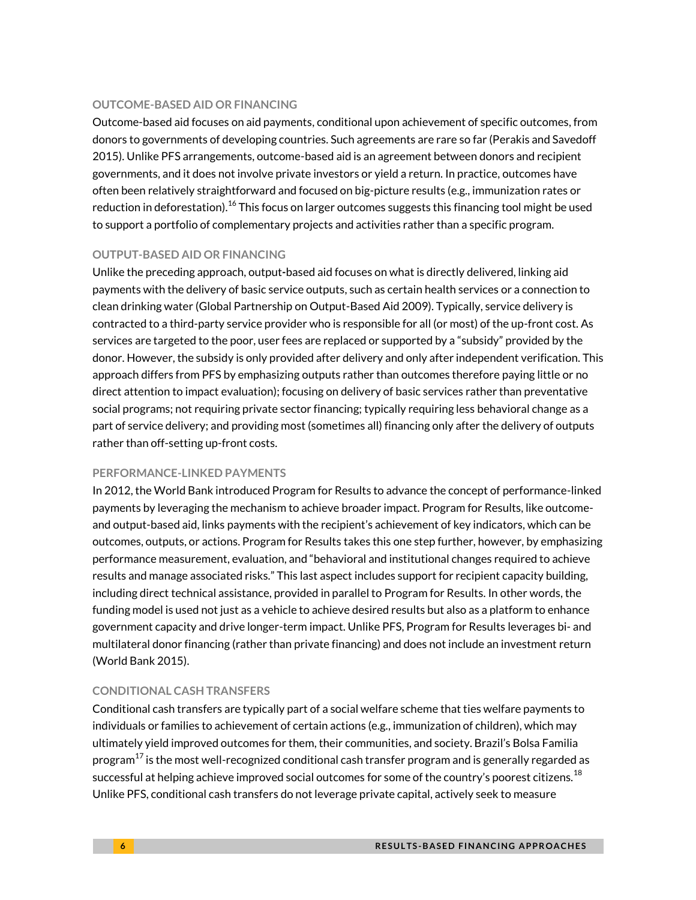#### **OUTCOME-BASED AID OR FINANCING**

Outcome-based aid focuses on aid payments, conditional upon achievement of specific outcomes, from donors to governments of developing countries. Such agreements are rare so far (Perakis and Savedoff 2015). Unlike PFS arrangements, outcome-based aid is an agreement between donors and recipient governments, and it does not involve private investors or yield a return. In practice, outcomes have often been relatively straightforward and focused on big-picture results (e.g., immunization rates or reduction in deforestation). $^{16}$  $^{16}$  $^{16}$  This focus on larger outcomes suggests this financing tool might be used to support a portfolio of complementary projects and activities rather than a specific program.

#### **OUTPUT-BASED AID OR FINANCING**

Unlike the preceding approach, output*-*based aid focuses on what is directly delivered, linking aid payments with the delivery of basic service outputs, such as certain health services or a connection to clean drinking water (Global Partnership on Output-Based Aid 2009). Typically, service delivery is contracted to a third-party service provider who is responsible for all (or most) of the up-front cost. As services are targeted to the poor, user fees are replaced or supported by a "subsidy" provided by the donor. However, the subsidy is only provided after delivery and only after independent verification. This approach differs from PFS by emphasizing outputs rather than outcomes therefore paying little or no direct attention to impact evaluation); focusing on delivery of basic services rather than preventative social programs; not requiring private sector financing; typically requiring less behavioral change as a part of service delivery; and providing most (sometimes all) financing only after the delivery of outputs rather than off-setting up-front costs.

#### **PERFORMANCE-LINKED PAYMENTS**

In 2012, the World Bank introduced Program for Results to advance the concept of performance-linked payments by leveraging the mechanism to achieve broader impact. Program for Results, like outcomeand output-based aid, links payments with the recipient's achievement of key indicators, which can be outcomes, outputs, or actions. Program for Results takes this one step further, however, by emphasizing performance measurement, evaluation, and "behavioral and institutional changes required to achieve results and manage associated risks." This last aspect includes support for recipient capacity building, including direct technical assistance, provided in parallel to Program for Results. In other words, the funding model is used not just as a vehicle to achieve desired results but also as a platform to enhance government capacity and drive longer-term impact. Unlike PFS, Program for Results leverages bi- and multilateral donor financing (rather than private financing) and does not include an investment return (World Bank 2015).

#### **CONDITIONAL CASH TRANSFERS**

Conditional cash transfers are typically part of a social welfare scheme that ties welfare payments to individuals or families to achievement of certain actions (e.g., immunization of children), which may ultimately yield improved outcomes for them, their communities, and society. Brazil's Bolsa Familia program $^{17}$  $^{17}$  $^{17}$  is the most well-recognized conditional cash transfer program and is generally regarded as successful at helping achieve improved social outcomes for some of the country's poorest citizens. $^{18}$  $^{18}$  $^{18}$ Unlike PFS, conditional cash transfers do not leverage private capital, actively seek to measure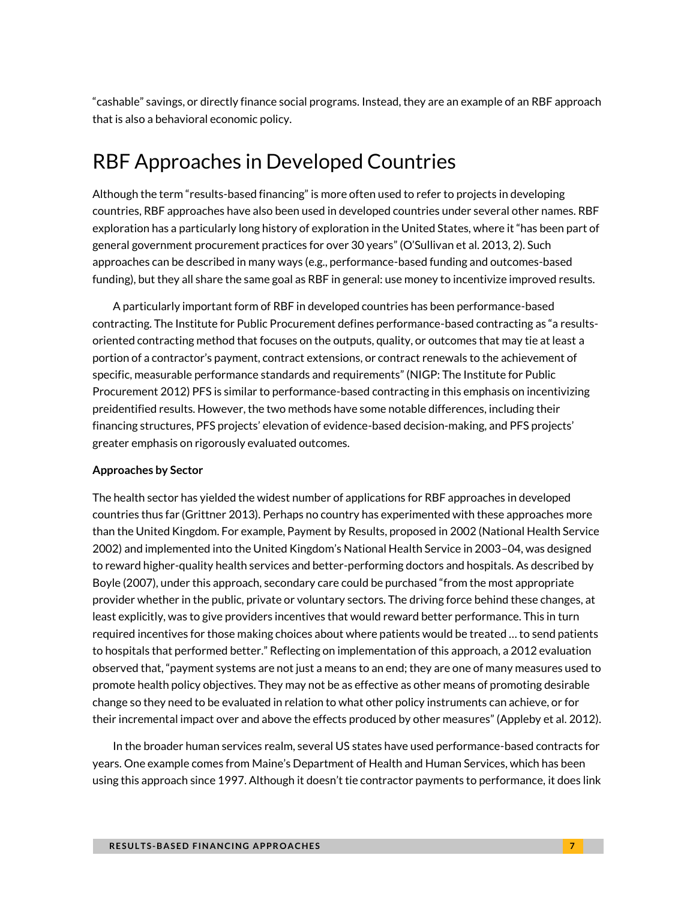"cashable" savings, or directly finance social programs. Instead, they are an example of an RBF approach that is also a behavioral economic policy.

# RBF Approaches in Developed Countries

Although the term "results-based financing" is more often used to refer to projects in developing countries, RBF approaches have also been used in developed countries under several other names. RBF exploration has a particularly long history of exploration in the United States, where it "has been part of general government procurement practices for over 30 years" (O'Sullivan et al. 2013, 2). Such approaches can be described in many ways (e.g., performance-based funding and outcomes-based funding), but they all share the same goal as RBF in general: use money to incentivize improved results.

A particularly important form of RBF in developed countries has been performance-based contracting. The Institute for Public Procurement defines performance-based contracting as "a resultsoriented contracting method that focuses on the outputs, quality, or outcomes that may tie at least a portion of a contractor's payment, contract extensions, or contract renewals to the achievement of specific, measurable performance standards and requirements" (NIGP: The Institute for Public Procurement 2012) PFS is similar to performance-based contracting in this emphasis on incentivizing preidentified results. However, the two methods have some notable differences, including their financing structures, PFS projects' elevation of evidence-based decision-making, and PFS projects' greater emphasis on rigorously evaluated outcomes.

#### **Approaches by Sector**

The health sector has yielded the widest number of applications for RBF approaches in developed countries thus far (Grittner 2013). Perhaps no country has experimented with these approaches more than the United Kingdom. For example, Payment by Results, proposed in 2002 (National Health Service 2002) and implemented into the United Kingdom's National Health Service in 2003–04, was designed to reward higher-quality health services and better-performing doctors and hospitals. As described by Boyle (2007), under this approach, secondary care could be purchased "from the most appropriate provider whether in the public, private or voluntary sectors. The driving force behind these changes, at least explicitly, was to give providers incentives that would reward better performance. This in turn required incentives for those making choices about where patients would be treated … to send patients to hospitals that performed better." Reflecting on implementation of this approach, a 2012 evaluation observed that, "payment systems are not just a means to an end; they are one of many measures used to promote health policy objectives. They may not be as effective as other means of promoting desirable change so they need to be evaluated in relation to what other policy instruments can achieve, or for their incremental impact over and above the effects produced by other measures" (Appleby et al. 2012).

In the broader human services realm, several US states have used performance-based contracts for years. One example comes from Maine's Department of Health and Human Services, which has been using this approach since 1997. Although it doesn't tie contractor payments to performance, it does link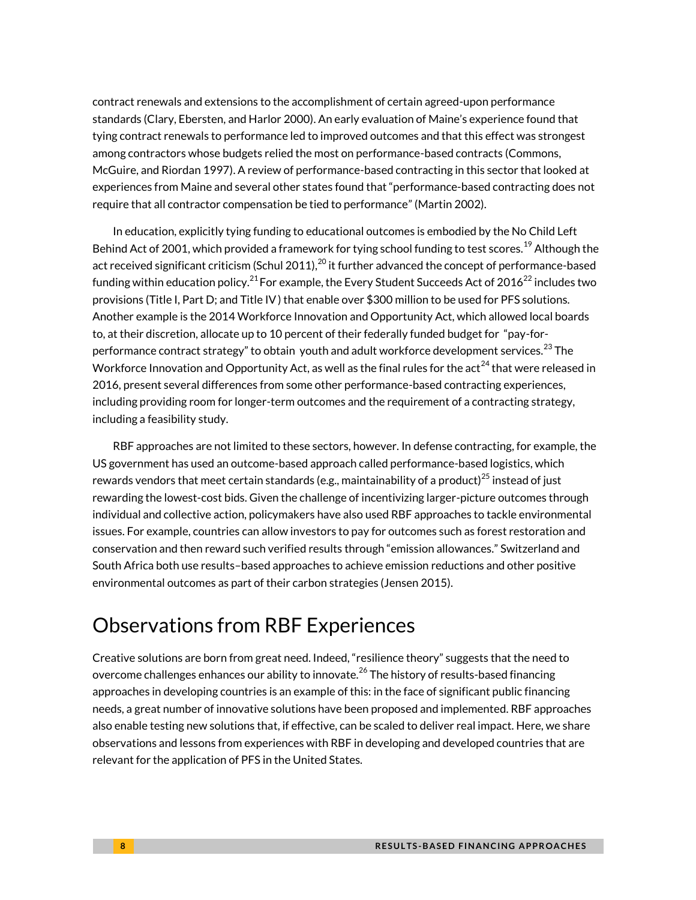contract renewals and extensions to the accomplishment of certain agreed-upon performance standards (Clary, Ebersten, and Harlor 2000). An early evaluation of Maine's experience found that tying contract renewals to performance led to improved outcomes and that this effect was strongest among contractors whose budgets relied the most on performance-based contracts (Commons, McGuire, and Riordan 1997). A review of performance-based contracting in this sector that looked at experiences from Maine and several other states found that "performance-based contracting does not require that all contractor compensation be tied to performance" (Martin 2002).

In education, explicitly tying funding to educational outcomes is embodied by the No Child Left Behind Act of 2001, which provided a framework for tying school funding to test scores.<sup>[19](#page-13-14)</sup> Although the act received significant criticism (Schul [20](#page-13-15)11), $^{20}$  it further advanced the concept of performance-based funding within education policy. $^{21}$  $^{21}$  $^{21}$  For example, the Every Student Succeeds Act of 2016 $^{22}$  $^{22}$  $^{22}$  includes two provisions (Title I, Part D; and Title IV) that enable over \$300 million to be used for PFS solutions. Another example is the 2014 Workforce Innovation and Opportunity Act, which allowed local boards to, at their discretion, allocate up to 10 percent of their federally funded budget for "pay-forperformance contract strategy" to obtain youth and adult workforce development services. $^{23}$  $^{23}$  $^{23}$  The Workforce Innovation and Opportunity Act, as well as the final rules for the act<sup>[24](#page-14-2)</sup> that were released in 2016, present several differences from some other performance-based contracting experiences, including providing room for longer-term outcomes and the requirement of a contracting strategy, including a feasibility study.

RBF approaches are not limited to these sectors, however. In defense contracting, for example, the US government has used an outcome-based approach called performance-based logistics, which rewards vendors that meet certain standards (e.g., maintainability of a product) $^{25}$  $^{25}$  $^{25}$  instead of just rewarding the lowest-cost bids. Given the challenge of incentivizing larger-picture outcomes through individual and collective action, policymakers have also used RBF approaches to tackle environmental issues. For example, countries can allow investors to pay for outcomes such as forest restoration and conservation and then reward such verified results through "emission allowances." Switzerland and South Africa both use results–based approaches to achieve emission reductions and other positive environmental outcomes as part of their carbon strategies (Jensen 2015).

# Observations from RBF Experiences

Creative solutions are born from great need. Indeed, "resilience theory" suggests that the need to overcome challenges enhances our ability to innovate. $^{26}$  $^{26}$  $^{26}$  The history of results-based financing approaches in developing countries is an example of this: in the face of significant public financing needs, a great number of innovative solutions have been proposed and implemented. RBF approaches also enable testing new solutions that, if effective, can be scaled to deliver real impact. Here, we share observations and lessons from experiences with RBF in developing and developed countries that are relevant for the application of PFS in the United States.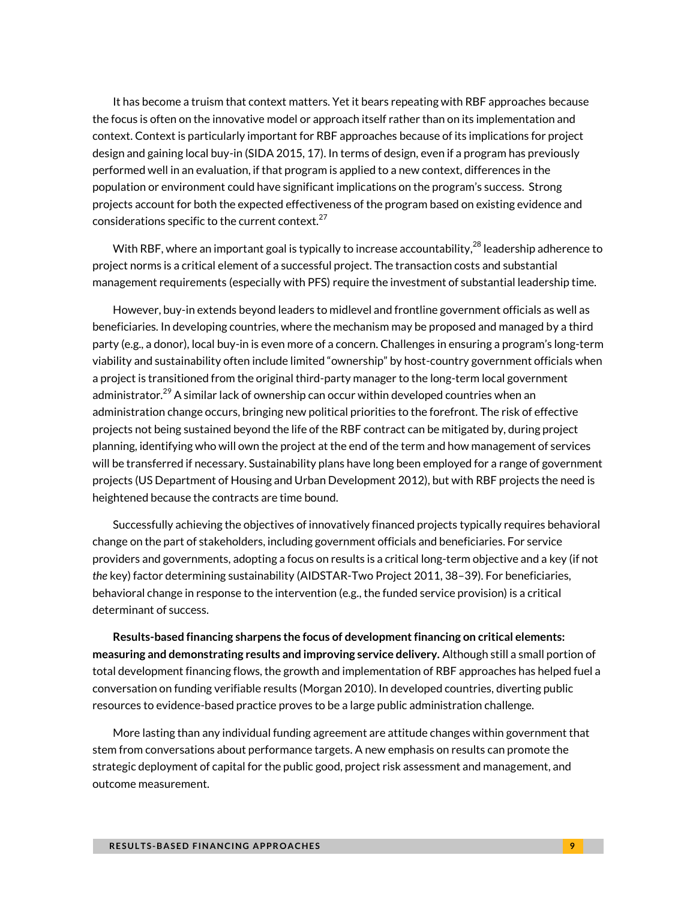It has become a truism that context matters. Yet it bears repeating with RBF approaches because the focus is often on the innovative model or approach itself rather than on its implementation and context. Context is particularly important for RBF approaches because of its implications for project design and gaining local buy-in (SIDA 2015, 17). In terms of design, even if a program has previously performed well in an evaluation, if that program is applied to a new context, differences in the population or environment could have significant implications on the program's success. Strong projects account for both the expected effectiveness of the program based on existing evidence and considerations specific to the current context.<sup>[27](#page-14-5)</sup>

With RBF, where an important goal is typically to increase accountability, $^{28}$  $^{28}$  $^{28}$  leadership adherence to project norms is a critical element of a successful project. The transaction costs and substantial management requirements (especially with PFS) require the investment of substantial leadership time.

However, buy-in extends beyond leaders to midlevel and frontline government officials as well as beneficiaries. In developing countries, where the mechanism may be proposed and managed by a third party (e.g., a donor), local buy-in is even more of a concern. Challenges in ensuring a program's long-term viability and sustainability often include limited "ownership" by host-country government officials when a project is transitioned from the original third-party manager to the long-term local government administrator. $^{29}$  $^{29}$  $^{29}$  A similar lack of ownership can occur within developed countries when an administration change occurs, bringing new political priorities to the forefront. The risk of effective projects not being sustained beyond the life of the RBF contract can be mitigated by, during project planning, identifying who will own the project at the end of the term and how management of services will be transferred if necessary. Sustainability plans have long been employed for a range of government projects (US Department of Housing and Urban Development 2012), but with RBF projects the need is heightened because the contracts are time bound.

Successfully achieving the objectives of innovatively financed projects typically requires behavioral change on the part of stakeholders, including government officials and beneficiaries. For service providers and governments, adopting a focus on results is a critical long-term objective and a key (if not *the* key) factor determining sustainability (AIDSTAR-Two Project 2011, 38–39). For beneficiaries, behavioral change in response to the intervention (e.g., the funded service provision) is a critical determinant of success.

**Results-based financing sharpens the focus of development financing on critical elements: measuring and demonstrating results and improving service delivery.** Although still a small portion of total development financing flows, the growth and implementation of RBF approaches has helped fuel a conversation on funding verifiable results (Morgan 2010). In developed countries, diverting public resources to evidence-based practice proves to be a large public administration challenge.

More lasting than any individual funding agreement are attitude changes within government that stem from conversations about performance targets. A new emphasis on results can promote the strategic deployment of capital for the public good, project risk assessment and management, and outcome measurement.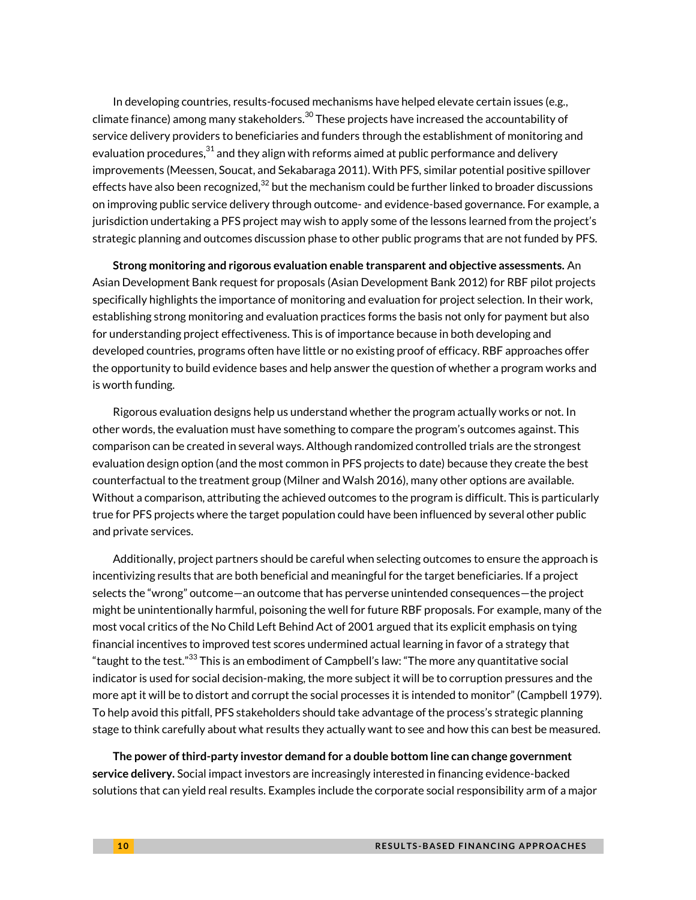In developing countries, results-focused mechanisms have helped elevate certain issues (e.g., climate finance) among many stakeholders. $^{30}$  $^{30}$  $^{30}$  These projects have increased the accountability of service delivery providers to beneficiaries and funders through the establishment of monitoring and evaluation procedures, $^{\rm 31}$  $^{\rm 31}$  $^{\rm 31}$  and they align with reforms aimed at public performance and delivery improvements (Meessen, Soucat, and Sekabaraga 2011). With PFS, similar potential positive spillover effects have also been recognized, $^{32}$  $^{32}$  $^{32}$  but the mechanism could be further linked to broader discussions on improving public service delivery through outcome- and evidence-based governance. For example, a jurisdiction undertaking a PFS project may wish to apply some of the lessons learned from the project's strategic planning and outcomes discussion phase to other public programs that are not funded by PFS.

**Strong monitoring and rigorous evaluation enable transparent and objective assessments.** An Asian Development Bank request for proposals (Asian Development Bank 2012) for RBF pilot projects specifically highlights the importance of monitoring and evaluation for project selection. In their work, establishing strong monitoring and evaluation practices forms the basis not only for payment but also for understanding project effectiveness. This is of importance because in both developing and developed countries, programs often have little or no existing proof of efficacy. RBF approaches offer the opportunity to build evidence bases and help answer the question of whether a program works and is worth funding.

Rigorous evaluation designs help us understand whether the program actually works or not. In other words, the evaluation must have something to compare the program's outcomes against. This comparison can be created in several ways. Although randomized controlled trials are the strongest evaluation design option (and the most common in PFS projects to date) because they create the best counterfactual to the treatment group (Milner and Walsh 2016), many other options are available. Without a comparison, attributing the achieved outcomes to the program is difficult. This is particularly true for PFS projects where the target population could have been influenced by several other public and private services.

Additionally, project partners should be careful when selecting outcomes to ensure the approach is incentivizing results that are both beneficial and meaningful for the target beneficiaries. If a project selects the "wrong" outcome—an outcome that has perverse unintended consequences—the project might be unintentionally harmful, poisoning the well for future RBF proposals. For example, many of the most vocal critics of the No Child Left Behind Act of 2001 argued that its explicit emphasis on tying financial incentives to improved test scores undermined actual learning in favor of a strategy that "taught to the test." $^{33}$  $^{33}$  $^{33}$  This is an embodiment of Campbell's law: "The more any quantitative social indicator is used for social decision-making, the more subject it will be to corruption pressures and the more apt it will be to distort and corrupt the social processes it is intended to monitor" (Campbell 1979). To help avoid this pitfall, PFS stakeholders should take advantage of the process's strategic planning stage to think carefully about what results they actually want to see and how this can best be measured.

**The power of third-party investor demand for a double bottom line can change government service delivery.** Social impact investors are increasingly interested in financing evidence-backed solutions that can yield real results. Examples include the corporate social responsibility arm of a major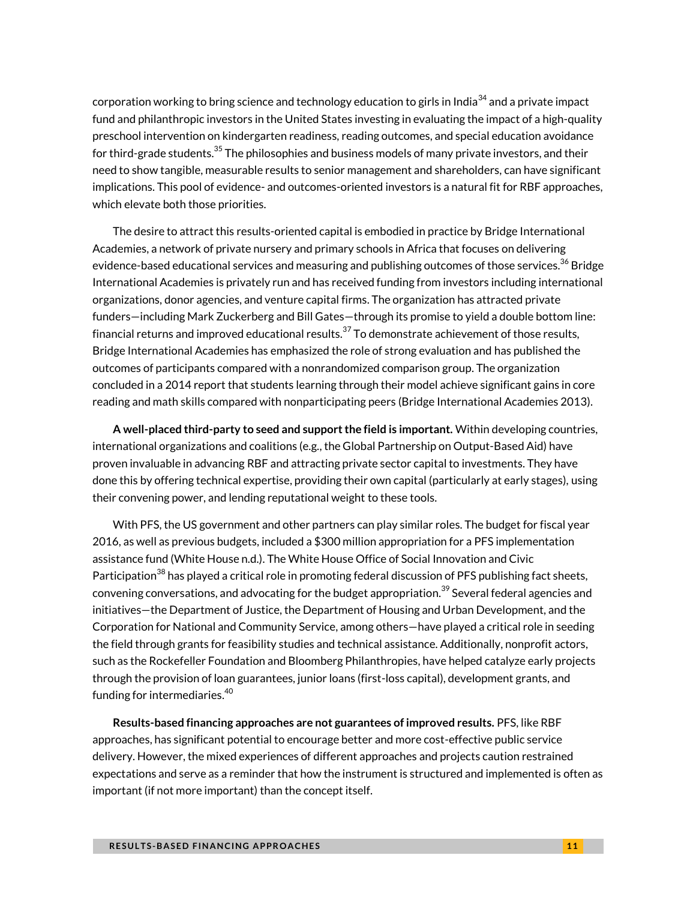corporation working to bring science and technology education to girls in India<sup>[34](#page-14-12)</sup> and a private impact fund and philanthropic investors in the United States investing in evaluating the impact of a high-quality preschool intervention on kindergarten readiness, reading outcomes, and special education avoidance for third-grade students.<sup>[35](#page-14-13)</sup> The philosophies and business models of many private investors, and their need to show tangible, measurable results to senior management and shareholders, can have significant implications. This pool of evidence- and outcomes-oriented investors is a natural fit for RBF approaches, which elevate both those priorities.

The desire to attract this results-oriented capital is embodied in practice by Bridge International Academies, a network of private nursery and primary schools in Africa that focuses on delivering evidence-based educational services and measuring and publishing outcomes of those services.<sup>[36](#page-14-14)</sup> Bridge International Academies is privately run and has received funding from investors including international organizations, donor agencies, and venture capital firms. The organization has attracted private funders—including Mark Zuckerberg and Bill Gates—through its promise to yield a double bottom line: financial returns and improved educational results.<sup>[37](#page-14-15)</sup> To demonstrate achievement of those results, Bridge International Academies has emphasized the role of strong evaluation and has published the outcomes of participants compared with a nonrandomized comparison group. The organization concluded in a 2014 report that students learning through their model achieve significant gains in core reading and math skills compared with nonparticipating peers (Bridge International Academies 2013).

**A well-placed third-party to seed and support the field is important.** Within developing countries, international organizations and coalitions (e.g., the Global Partnership on Output-Based Aid) have proven invaluable in advancing RBF and attracting private sector capital to investments. They have done this by offering technical expertise, providing their own capital (particularly at early stages), using their convening power, and lending reputational weight to these tools.

With PFS, the US government and other partners can play similar roles. The budget for fiscal year 2016, as well as previous budgets, included a \$300 million appropriation for a PFS implementation assistance fund (White House n.d.). The White House Office of Social Innovation and Civic Participation<sup>[38](#page-14-16)</sup> has played a critical role in promoting federal discussion of PFS publishing fact sheets, convening conversations, and advocating for the budget appropriation.<sup>[39](#page-14-17)</sup> Several federal agencies and initiatives—the Department of Justice, the Department of Housing and Urban Development, and the Corporation for National and Community Service, among others—have played a critical role in seeding the field through grants for feasibility studies and technical assistance. Additionally, nonprofit actors, such as the Rockefeller Foundation and Bloomberg Philanthropies, have helped catalyze early projects through the provision of loan guarantees, junior loans (first-loss capital), development grants, and funding for intermediaries. [40](#page-14-18)

**Results-based financing approaches are not guarantees of improved results.** PFS, like RBF approaches, has significant potential to encourage better and more cost-effective public service delivery. However, the mixed experiences of different approaches and projects caution restrained expectations and serve as a reminder that how the instrument is structured and implemented is often as important (if not more important) than the concept itself.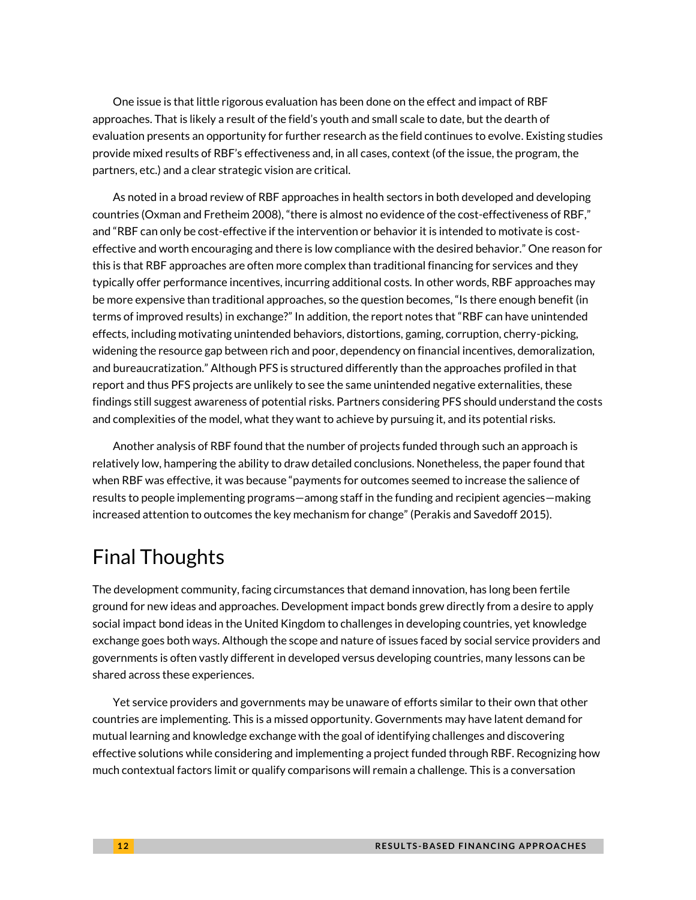One issue is that little rigorous evaluation has been done on the effect and impact of RBF approaches. That is likely a result of the field's youth and small scale to date, but the dearth of evaluation presents an opportunity for further research as the field continues to evolve. Existing studies provide mixed results of RBF's effectiveness and, in all cases, context (of the issue, the program, the partners, etc.) and a clear strategic vision are critical.

As noted in a broad review of RBF approaches in health sectors in both developed and developing countries (Oxman and Fretheim 2008), "there is almost no evidence of the cost-effectiveness of RBF," and "RBF can only be cost-effective if the intervention or behavior it is intended to motivate is costeffective and worth encouraging and there is low compliance with the desired behavior." One reason for this is that RBF approaches are often more complex than traditional financing for services and they typically offer performance incentives, incurring additional costs. In other words, RBF approaches may be more expensive than traditional approaches, so the question becomes, "Is there enough benefit (in terms of improved results) in exchange?" In addition, the report notes that "RBF can have unintended effects, including motivating unintended behaviors, distortions, gaming, corruption, cherry-picking, widening the resource gap between rich and poor, dependency on financial incentives, demoralization, and bureaucratization." Although PFS is structured differently than the approaches profiled in that report and thus PFS projects are unlikely to see the same unintended negative externalities, these findings still suggest awareness of potential risks. Partners considering PFS should understand the costs and complexities of the model, what they want to achieve by pursuing it, and its potential risks.

Another analysis of RBF found that the number of projects funded through such an approach is relatively low, hampering the ability to draw detailed conclusions. Nonetheless, the paper found that when RBF was effective, it was because "payments for outcomes seemed to increase the salience of results to people implementing programs—among staff in the funding and recipient agencies—making increased attention to outcomes the key mechanism for change" (Perakis and Savedoff 2015).

# Final Thoughts

The development community, facing circumstances that demand innovation, has long been fertile ground for new ideas and approaches. Development impact bonds grew directly from a desire to apply social impact bond ideas in the United Kingdom to challenges in developing countries, yet knowledge exchange goes both ways. Although the scope and nature of issues faced by social service providers and governments is often vastly different in developed versus developing countries, many lessons can be shared across these experiences.

Yet service providers and governments may be unaware of efforts similar to their own that other countries are implementing. This is a missed opportunity. Governments may have latent demand for mutual learning and knowledge exchange with the goal of identifying challenges and discovering effective solutions while considering and implementing a project funded through RBF. Recognizing how much contextual factors limit or qualify comparisons will remain a challenge. This is a conversation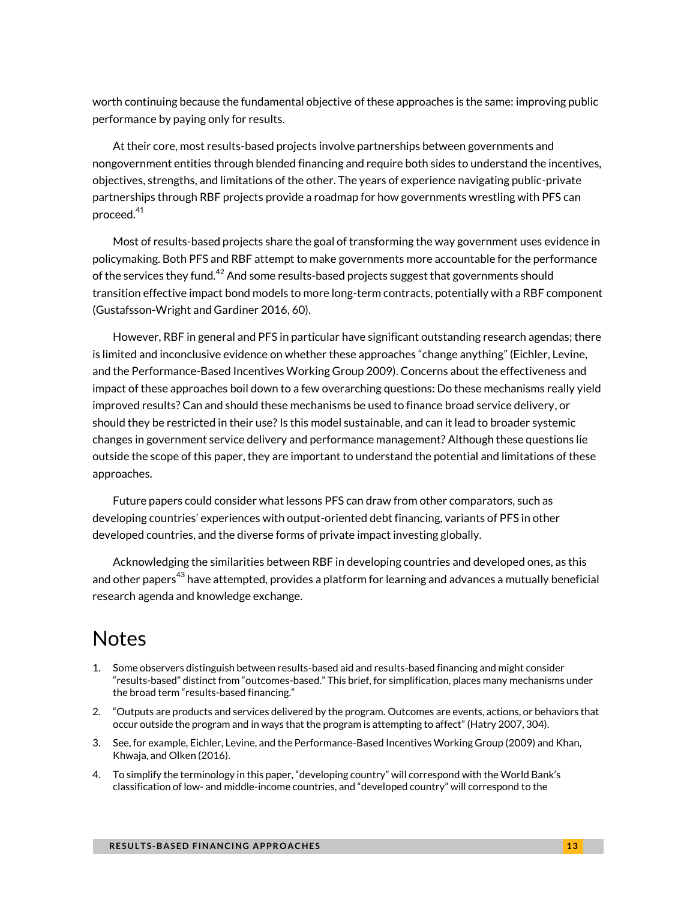worth continuing because the fundamental objective of these approaches is the same: improving public performance by paying only for results.

At their core, most results-based projects involve partnerships between governments and nongovernment entities through blended financing and require both sides to understand the incentives, objectives, strengths, and limitations of the other. The years of experience navigating public-private partnerships through RBF projects provide a roadmap for how governments wrestling with PFS can proceed. $41$ 

Most of results-based projects share the goal of transforming the way government uses evidence in policymaking. Both PFS and RBF attempt to make governments more accountable for the performance of the services they fund. $^{42}$  $^{42}$  $^{42}$  And some results-based projects suggest that governments should transition effective impact bond models to more long-term contracts, potentially with a RBF component (Gustafsson-Wright and Gardiner 2016, 60).

However, RBF in general and PFS in particular have significant outstanding research agendas; there is limited and inconclusive evidence on whether these approaches "change anything" (Eichler, Levine, and the Performance-Based Incentives Working Group 2009). Concerns about the effectiveness and impact of these approaches boil down to a few overarching questions: Do these mechanisms really yield improved results? Can and should these mechanisms be used to finance broad service delivery, or should they be restricted in their use? Is this model sustainable, and can it lead to broader systemic changes in government service delivery and performance management? Although these questions lie outside the scope of this paper, they are important to understand the potential and limitations of these approaches.

Future papers could consider what lessons PFS can draw from other comparators, such as developing countries' experiences with output-oriented debt financing, variants of PFS in other developed countries, and the diverse forms of private impact investing globally.

Acknowledging the similarities between RBF in developing countries and developed ones, as this and other papers $^{43}$  $^{43}$  $^{43}$  have attempted, provides a platform for learning and advances a mutually beneficial research agenda and knowledge exchange.

# Notes

- <span id="page-12-0"></span>1. Some observers distinguish between results-based aid and results-based financing and might consider "results-based" distinct from "outcomes-based." This brief, for simplification, places many mechanisms under the broad term "results-based financing."
- <span id="page-12-1"></span>2. "Outputs are products and services delivered by the program. Outcomes are events, actions, or behaviors that occur outside the program and in ways that the program is attempting to affect" (Hatry 2007, 304).
- <span id="page-12-2"></span>3. See, for example, Eichler, Levine, and the Performance-Based Incentives Working Group (2009) and Khan, Khwaja, and Olken (2016).
- <span id="page-12-3"></span>4. To simplify the terminology in this paper, "developing country" will correspond with the World Bank's classification of low- and middle-income countries, and "developed country" will correspond to the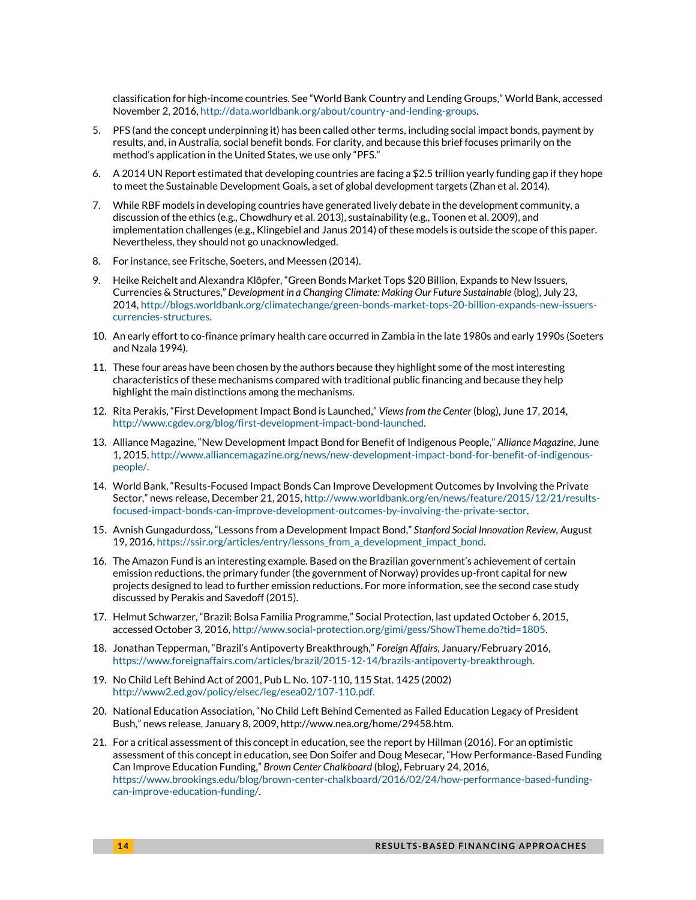classification for high-income countries. See "World Bank Country and Lending Groups," World Bank, accessed November 2, 2016[, http://data.worldbank.org/about/country-and-lending-groups.](http://data.worldbank.org/about/country-and-lending-groups#High_income)

- <span id="page-13-0"></span>5. PFS (and the concept underpinning it) has been called other terms, including social impact bonds, payment by results, and, in Australia, social benefit bonds. For clarity, and because this brief focuses primarily on the method's application in the United States, we use only "PFS."
- <span id="page-13-1"></span>6. A 2014 UN Report estimated that developing countries are facing a \$2.5 trillion yearly funding gap if they hope to meet the Sustainable Development Goals, a set of global development targets (Zhan et al. 2014).
- <span id="page-13-2"></span>7. While RBF models in developing countries have generated lively debate in the development community, a discussion of the ethics (e.g., Chowdhury et al. 2013), sustainability (e.g., Toonen et al. 2009), and implementation challenges (e.g., Klingebiel and Janus 2014) of these models is outside the scope of this paper. Nevertheless, they should not go unacknowledged.
- <span id="page-13-3"></span>8. For instance, see Fritsche, Soeters, and Meessen (2014).
- <span id="page-13-4"></span>9. Heike Reichelt and Alexandra Klöpfer, "Green Bonds Market Tops \$20 Billion, Expands to New Issuers, Currencies & Structures," *Development in a Changing Climate: Making Our Future Sustainable* (blog), July 23, 2014[, http://blogs.worldbank.org/climatechange/green-bonds-market-tops-20-billion-expands-new-issuers](http://blogs.worldbank.org/climatechange/green-bonds-market-tops-20-billion-expands-new-issuers-currencies-structures)[currencies-structures.](http://blogs.worldbank.org/climatechange/green-bonds-market-tops-20-billion-expands-new-issuers-currencies-structures)
- <span id="page-13-5"></span>10. An early effort to co-finance primary health care occurred in Zambia in the late 1980s and early 1990s (Soeters and Nzala 1994).
- <span id="page-13-6"></span>11. These four areas have been chosen by the authors because they highlight some of the most interesting characteristics of these mechanisms compared with traditional public financing and because they help highlight the main distinctions among the mechanisms.
- <span id="page-13-7"></span>12. Rita Perakis, "First Development Impact Bond is Launched," *Views from the Center* (blog), June 17, 2014, [http://www.cgdev.org/blog/first-development-impact-bond-launched.](http://www.cgdev.org/blog/first-development-impact-bond-launched)
- <span id="page-13-8"></span>13. Alliance Magazine, "New Development Impact Bond for Benefit of Indigenous People," *Alliance Magazine*, June 1, 2015[, http://www.alliancemagazine.org/news/new-development-impact-bond-for-benefit-of-indigenous](http://www.alliancemagazine.org/news/new-development-impact-bond-for-benefit-of-indigenous-people/)[people/.](http://www.alliancemagazine.org/news/new-development-impact-bond-for-benefit-of-indigenous-people/)
- <span id="page-13-9"></span>14. World Bank, "Results-Focused Impact Bonds Can Improve Development Outcomes by Involving the Private Sector," news release, December 21, 2015, [http://www.worldbank.org/en/news/feature/2015/12/21/results](http://www.worldbank.org/en/news/feature/2015/12/21/results-focused-impact-bonds-can-improve-development-outcomes-by-involving-the-private-sector)[focused-impact-bonds-can-improve-development-outcomes-by-involving-the-private-sector.](http://www.worldbank.org/en/news/feature/2015/12/21/results-focused-impact-bonds-can-improve-development-outcomes-by-involving-the-private-sector)
- <span id="page-13-10"></span>15. Avnish Gungadurdoss, "Lessons from a Development Impact Bond," *Stanford Social Innovation Review,* August 19, 2016[, https://ssir.org/articles/entry/lessons\\_from\\_a\\_development\\_impact\\_bond.](https://ssir.org/articles/entry/lessons_from_a_development_impact_bond)
- <span id="page-13-11"></span>16. The Amazon Fund is an interesting example. Based on the Brazilian government's achievement of certain emission reductions, the primary funder (the government of Norway) provides up-front capital for new projects designed to lead to further emission reductions. For more information, see the second case study discussed by Perakis and Savedoff (2015).
- <span id="page-13-12"></span>17. Helmut Schwarzer, "Brazil: Bolsa Familia Programme," Social Protection, last updated October 6, 2015, accessed October 3, 2016[, http://www.social-protection.org/gimi/gess/ShowTheme.do?tid=1805.](http://www.social-protection.org/gimi/gess/ShowTheme.do?tid=1805)
- <span id="page-13-13"></span>18. Jonathan Tepperman, "Brazil's Antipoverty Breakthrough," *Foreign Affairs*, January/February 2016, [https://www.foreignaffairs.com/articles/brazil/2015-12-14/brazils-antipoverty-breakthrough.](https://www.foreignaffairs.com/articles/brazil/2015-12-14/brazils-antipoverty-breakthrough)
- <span id="page-13-14"></span>19. No Child Left Behind Act of 2001, Pub L. No. 107-110, 115 Stat. 1425 (2002) [http://www2.ed.gov/policy/elsec/leg/esea02/107-110.pdf.](http://www2.ed.gov/policy/elsec/leg/esea02/107-110.pdf)
- <span id="page-13-15"></span>20. National Education Association, "No Child Left Behind Cemented as Failed Education Legacy of President Bush," news release, January 8, 2009, http://www.nea.org/home/29458.htm.
- <span id="page-13-16"></span>21. For a critical assessment of this concept in education, see the report by Hillman (2016). For an optimistic assessment of this concept in education, see Don Soifer and Doug Mesecar, "How Performance-Based Funding Can Improve Education Funding," *Brown Center Chalkboard* (blog), February 24, 2016, [https://www.brookings.edu/blog/brown-center-chalkboard/2016/02/24/how-performance-based-funding](https://www.brookings.edu/blog/brown-center-chalkboard/2016/02/24/how-performance-based-funding-can-improve-education-funding/)[can-improve-education-funding/.](https://www.brookings.edu/blog/brown-center-chalkboard/2016/02/24/how-performance-based-funding-can-improve-education-funding/)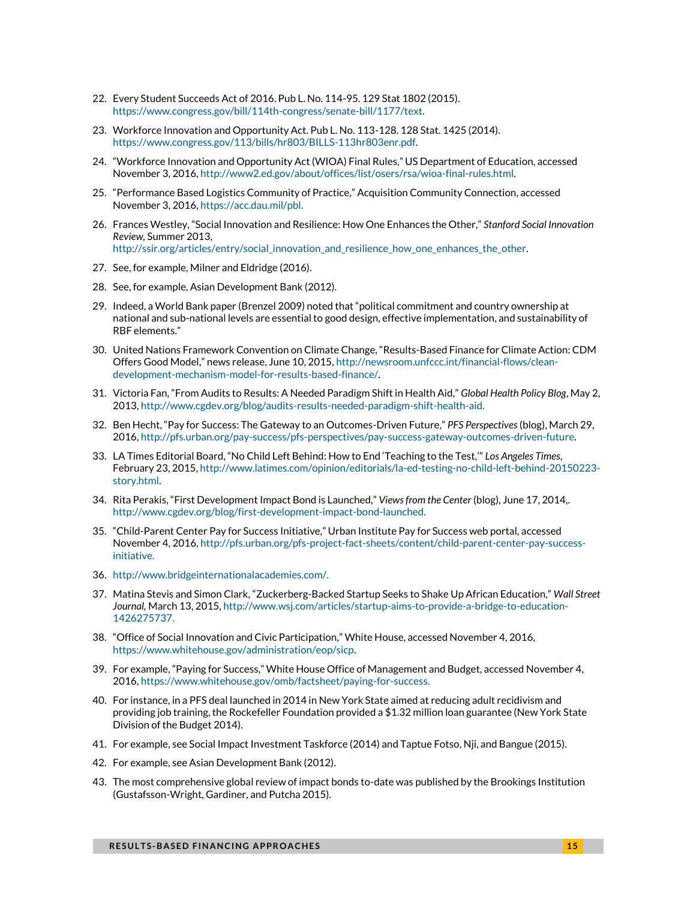- <span id="page-14-0"></span>22. Every Student Succeeds Act of 2016. Pub L. No. 114-95. 129 Stat 1802 (2015). [https://www.congress.gov/bill/114th-congress/senate-bill/1177/text.](https://www.congress.gov/bill/114th-congress/senate-bill/1177/text)
- <span id="page-14-1"></span>23. Workforce Innovation and Opportunity Act. Pub L. No. 113-128. 128 Stat. 1425 (2014). [https://www.congress.gov/113/bills/hr803/BILLS-113hr803enr.pdf.](https://www.congress.gov/113/bills/hr803/BILLS-113hr803enr.pdf)
- <span id="page-14-2"></span>24. "Workforce Innovation and Opportunity Act (WIOA) Final Rules," US Department of Education, accessed November 3, 2016[, http://www2.ed.gov/about/offices/list/osers/rsa/wioa-final-rules.html.](http://www2.ed.gov/about/offices/list/osers/rsa/wioa-final-rules.html)
- <span id="page-14-3"></span>25. "Performance Based Logistics Community of Practice," Acquisition Community Connection, accessed November 3, 2016[, https://acc.dau.mil/pbl.](https://acc.dau.mil/pbl)
- <span id="page-14-4"></span>26. Frances Westley, "Social Innovation and Resilience: How One Enhances the Other," *Stanford Social Innovation Review,* Summer 2013, [http://ssir.org/articles/entry/social\\_innovation\\_and\\_resilience\\_how\\_one\\_enhances\\_the\\_other.](http://ssir.org/articles/entry/social_innovation_and_resilience_how_one_enhances_the_other)
- <span id="page-14-5"></span>27. See, for example, Milner and Eldridge (2016).
- <span id="page-14-6"></span>28. See, for example, Asian Development Bank (2012).
- <span id="page-14-7"></span>29. Indeed, a World Bank paper (Brenzel 2009) noted that "political commitment and country ownership at national and sub-national levels are essential to good design, effective implementation, and sustainability of RBF elements."
- <span id="page-14-8"></span>30. United Nations Framework Convention on Climate Change, "Results-Based Finance for Climate Action: CDM Offers Good Model," news release, June 10, 2015, [http://newsroom.unfccc.int/financial-flows/clean](http://newsroom.unfccc.int/financial-flows/clean-development-mechanism-model-for-results-based-finance/)[development-mechanism-model-for-results-based-finance/.](http://newsroom.unfccc.int/financial-flows/clean-development-mechanism-model-for-results-based-finance/)
- <span id="page-14-9"></span>31. Victoria Fan, "From Audits to Results: A Needed Paradigm Shift in Health Aid," *Global Health Policy Blog*, May 2, 2013[, http://www.cgdev.org/blog/audits-results-needed-paradigm-shift-health-aid.](http://www.cgdev.org/blog/audits-results-needed-paradigm-shift-health-aid)
- <span id="page-14-10"></span>32. Ben Hecht, "Pay for Success: The Gateway to an Outcomes-Driven Future," *PFS Perspectives*(blog), March 29, 2016[, http://pfs.urban.org/pay-success/pfs-perspectives/pay-success-gateway-outcomes-driven-future.](http://pfs.urban.org/pay-success/pfs-perspectives/pay-success-gateway-outcomes-driven-future)
- <span id="page-14-11"></span>33. LA Times Editorial Board, "No Child Left Behind: How to End 'Teaching to the Test,'" *Los Angeles Times*, February 23, 2015[, http://www.latimes.com/opinion/editorials/la-ed-testing-no-child-left-behind-20150223](http://www.latimes.com/opinion/editorials/la-ed-testing-no-child-left-behind-20150223-story.html) [story.html.](http://www.latimes.com/opinion/editorials/la-ed-testing-no-child-left-behind-20150223-story.html)
- <span id="page-14-12"></span>34. Rita Perakis, "First Development Impact Bond is Launched," *Views from the Center* (blog), June 17, 2014,. [http://www.cgdev.org/blog/first-development-impact-bond-launched.](http://www.cgdev.org/blog/first-development-impact-bond-launched)
- <span id="page-14-13"></span>35. "Child-Parent Center Pay for Success Initiative," Urban Institute Pay for Success web portal, accessed November 4, 2016[, http://pfs.urban.org/pfs-project-fact-sheets/content/child-parent-center-pay-success](http://pfs.urban.org/pfs-project-fact-sheets/content/child-parent-center-pay-success-initiative)[initiative.](http://pfs.urban.org/pfs-project-fact-sheets/content/child-parent-center-pay-success-initiative)
- <span id="page-14-14"></span>36. [http://www.bridgeinternationalacademies.com/.](http://www.bridgeinternationalacademies.com/)
- <span id="page-14-15"></span>37. Matina Stevis and Simon Clark, "Zuckerberg-Backed Startup Seeks to Shake Up African Education," *Wall Street Journal,* March 13, 2015[, http://www.wsj.com/articles/startup-aims-to-provide-a-bridge-to-education-](http://www.wsj.com/articles/startup-aims-to-provide-a-bridge-to-education-1426275737)[1426275737.](http://www.wsj.com/articles/startup-aims-to-provide-a-bridge-to-education-1426275737)
- <span id="page-14-16"></span>38. "Office of Social Innovation and Civic Participation," White House, accessed November 4, 2016, [https://www.whitehouse.gov/administration/eop/sicp.](https://www.whitehouse.gov/administration/eop/sicp)
- <span id="page-14-17"></span>39. For example, "Paying for Success," White House Office of Management and Budget, accessed November 4, 2016[, https://www.whitehouse.gov/omb/factsheet/paying-for-success.](https://www.whitehouse.gov/omb/factsheet/paying-for-success)
- <span id="page-14-18"></span>40. For instance, in a PFS deal launched in 2014 in New York State aimed at reducing adult recidivism and providing job training, the Rockefeller Foundation provided a \$1.32 million loan guarantee (New York State Division of the Budget 2014).
- <span id="page-14-19"></span>41. For example, see Social Impact Investment Taskforce (2014) and Taptue Fotso, Nji, and Bangue (2015).
- <span id="page-14-20"></span>42. For example, see Asian Development Bank (2012).
- <span id="page-14-21"></span>43. The most comprehensive global review of impact bonds to-date was published by the Brookings Institution (Gustafsson-Wright, Gardiner, and Putcha 2015).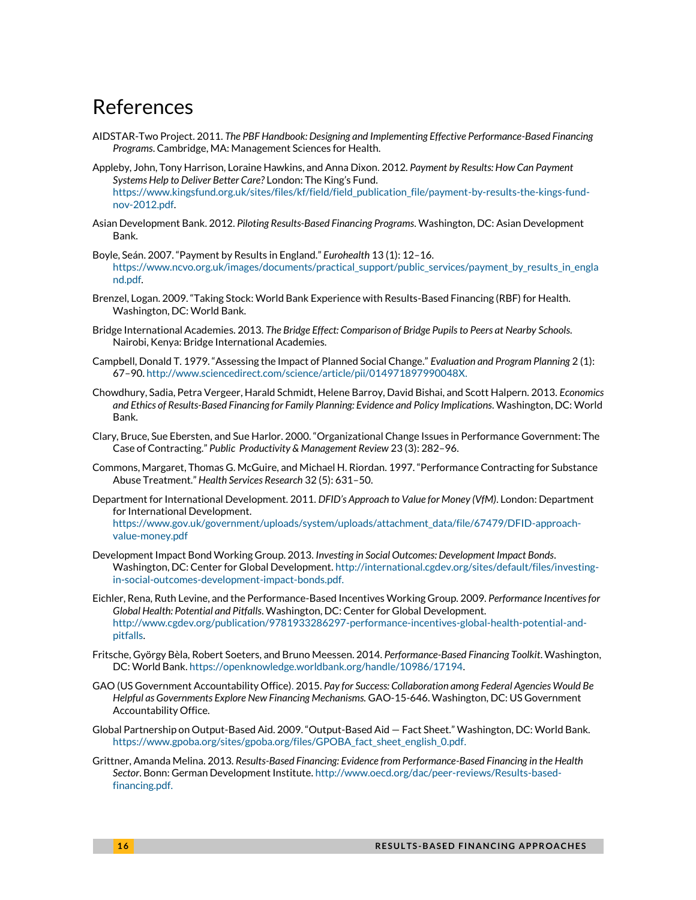### References

- AIDSTAR-Two Project. 2011. *The PBF Handbook: Designing and Implementing Effective Performance-Based Financing Programs*. Cambridge, MA: Management Sciences for Health.
- Appleby, John, Tony Harrison, Loraine Hawkins, and Anna Dixon. 2012. *Payment by Results: How Can Payment Systems Help to Deliver Better Care?* London: The King's Fund. [https://www.kingsfund.org.uk/sites/files/kf/field/field\\_publication\\_file/payment-by-results-the-kings-fund](https://www.kingsfund.org.uk/sites/files/kf/field/field_publication_file/payment-by-results-the-kings-fund-nov-2012.pdf)[nov-2012.pdf.](https://www.kingsfund.org.uk/sites/files/kf/field/field_publication_file/payment-by-results-the-kings-fund-nov-2012.pdf)
- Asian Development Bank. 2012. *Piloting Results-Based Financing Programs*. Washington, DC: Asian Development Bank.
- Boyle, Seán. 2007. "Payment by Results in England." *Eurohealth* 13 (1): 12–16. [https://www.ncvo.org.uk/images/documents/practical\\_support/public\\_services/payment\\_by\\_results\\_in\\_engla](https://www.ncvo.org.uk/images/documents/practical_support/public_services/payment_by_results_in_england.pdf) [nd.pdf.](https://www.ncvo.org.uk/images/documents/practical_support/public_services/payment_by_results_in_england.pdf)
- Brenzel, Logan. 2009. "Taking Stock: World Bank Experience with Results-Based Financing (RBF) for Health. Washington, DC: World Bank.
- Bridge International Academies. 2013. *The Bridge Effect: Comparison of Bridge Pupils to Peers at Nearby Schools*. Nairobi, Kenya: Bridge International Academies.
- Campbell, Donald T. 1979. "Assessing the Impact of Planned Social Change." *Evaluation and Program Planning* 2 (1): 67–90[. http://www.sciencedirect.com/science/article/pii/014971897990048X.](http://www.sciencedirect.com/science/article/pii/014971897990048X)
- Chowdhury, Sadia, Petra Vergeer, Harald Schmidt, Helene Barroy, David Bishai, and Scott Halpern. 2013. *Economics and Ethics of Results-Based Financing for Family Planning: Evidence and Policy Implications*. Washington, DC: World Bank.
- Clary, Bruce, Sue Ebersten, and Sue Harlor. 2000. "Organizational Change Issues in Performance Government: The Case of Contracting." *Public Productivity & Management Review* 23 (3): 282–96.
- Commons, Margaret, Thomas G. McGuire, and Michael H. Riordan. 1997. "Performance Contracting for Substance Abuse Treatment." *Health Services Research* 32 (5): 631–50.
- Department for International Development. 2011. *DFID's Approach to Value for Money (VfM)*. London: Department for International Development. [https://www.gov.uk/government/uploads/system/uploads/attachment\\_data/file/67479/DFID-approach](https://www.gov.uk/government/uploads/system/uploads/attachment_data/file/67479/DFID-approach-value-money.pdf)[value-money.pdf](https://www.gov.uk/government/uploads/system/uploads/attachment_data/file/67479/DFID-approach-value-money.pdf)
- Development Impact Bond Working Group. 2013. *Investing in Social Outcomes: Development Impact Bonds*. Washington, DC: Center for Global Development[. http://international.cgdev.org/sites/default/files/investing](http://international.cgdev.org/sites/default/files/investing-in-social-outcomes-development-impact-bonds.pdf)[in-social-outcomes-development-impact-bonds.pdf.](http://international.cgdev.org/sites/default/files/investing-in-social-outcomes-development-impact-bonds.pdf)
- Eichler, Rena, Ruth Levine, and the Performance-Based Incentives Working Group. 2009. *Performance Incentives for Global Health: Potential and Pitfalls*. Washington, DC: Center for Global Development. [http://www.cgdev.org/publication/9781933286297-performance-incentives-global-health-potential-and](http://www.cgdev.org/publication/9781933286297-performance-incentives-global-health-potential-and-pitfalls)[pitfalls.](http://www.cgdev.org/publication/9781933286297-performance-incentives-global-health-potential-and-pitfalls)
- Fritsche, György Bèla, Robert Soeters, and Bruno Meessen. 2014. *Performance-Based Financing Toolkit*. Washington, DC: World Bank[. https://openknowledge.worldbank.org/handle/10986/17194.](https://openknowledge.worldbank.org/handle/10986/17194)
- GAO (US Government Accountability Office). 2015. *Pay for Success: Collaboration among Federal Agencies Would Be Helpful as Governments Explore New Financing Mechanisms.* GAO-15-646. Washington, DC: US Government Accountability Office.
- Global Partnership on Output-Based Aid. 2009. "Output-Based Aid Fact Sheet." Washington, DC: World Bank. [https://www.gpoba.org/sites/gpoba.org/files/GPOBA\\_fact\\_sheet\\_english\\_0.pdf.](https://www.gpoba.org/sites/gpoba.org/files/GPOBA_fact_sheet_english_0.pdf)
- Grittner, Amanda Melina. 2013. *Results-Based Financing: Evidence from Performance-Based Financing in the Health Sector*. Bonn: German Development Institute[. http://www.oecd.org/dac/peer-reviews/Results-based](http://www.oecd.org/dac/peer-reviews/Results-based-financing.pdf)[financing.pdf.](http://www.oecd.org/dac/peer-reviews/Results-based-financing.pdf)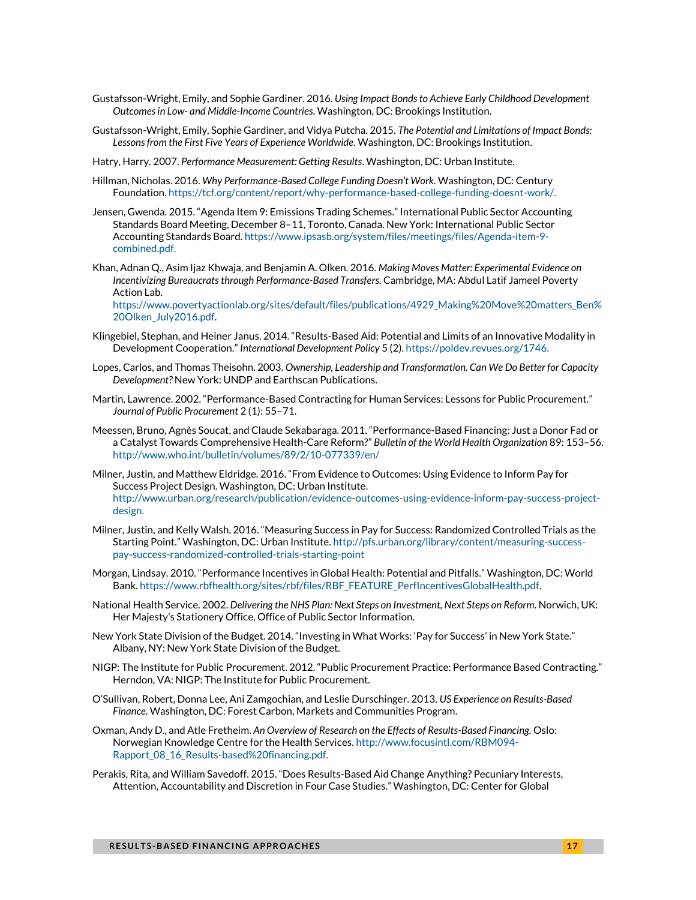- Gustafsson-Wright, Emily, and Sophie Gardiner. 2016. *Using Impact Bondsto Achieve Early Childhood Development Outcomes in Low- and Middle-Income Countries*. Washington, DC: Brookings Institution.
- Gustafsson-Wright, Emily, Sophie Gardiner, and Vidya Putcha. 2015. *The Potential and Limitations of Impact Bonds: Lessons from the First Five Years of Experience Worldwide*. Washington, DC: Brookings Institution.
- Hatry, Harry. 2007. *Performance Measurement: Getting Results*. Washington, DC: Urban Institute.
- Hillman, Nicholas. 2016. *Why Performance-Based College Funding Doesn't Work.* Washington, DC: Century Foundation[. https://tcf.org/content/report/why-performance-based-college-funding-doesnt-work/.](https://tcf.org/content/report/why-performance-based-college-funding-doesnt-work/)
- Jensen, Gwenda. 2015. "Agenda Item 9: Emissions Trading Schemes." International Public Sector Accounting Standards Board Meeting, December 8–11, Toronto, Canada. New York: International Public Sector Accounting Standards Board[. https://www.ipsasb.org/system/files/meetings/files/Agenda-item-9](https://www.ipsasb.org/system/files/meetings/files/Agenda-item-9-combined.pdf) [combined.pdf.](https://www.ipsasb.org/system/files/meetings/files/Agenda-item-9-combined.pdf)
- Khan, Adnan Q., Asim Ijaz Khwaja, and Benjamin A. Olken. 2016. *Making Moves Matter: Experimental Evidence on Incentivizing Bureaucrats through Performance-Based Transfers.* Cambridge, MA: Abdul Latif Jameel Poverty Action Lab.

[https://www.povertyactionlab.org/sites/default/files/publications/4929\\_Making%20Move%20matters\\_Ben%](https://www.povertyactionlab.org/sites/default/files/publications/4929_Making%20Move%20matters_Ben%20Olken_July2016.pdf) [20Olken\\_July2016.pdf.](https://www.povertyactionlab.org/sites/default/files/publications/4929_Making%20Move%20matters_Ben%20Olken_July2016.pdf)

- Klingebiel, Stephan, and Heiner Janus. 2014. "Results-Based Aid: Potential and Limits of an Innovative Modality in Development Cooperation." *International Development Policy* 5 (2). [https://poldev.revues.org/1746.](https://poldev.revues.org/1746)
- Lopes, Carlos, and Thomas Theisohn. 2003. *Ownership, Leadership and Transformation. Can We Do Better for Capacity Development?* New York: UNDP and Earthscan Publications.
- Martin, Lawrence. 2002. "Performance-Based Contracting for Human Services: Lessons for Public Procurement." *Journal of Public Procurement* 2 (1): 55–71.
- Meessen, Bruno, Agnès Soucat, and Claude Sekabaraga. 2011. "Performance-Based Financing: Just a Donor Fad or a Catalyst Towards Comprehensive Health-Care Reform?" *Bulletin of the World Health Organization* 89: 153–56. <http://www.who.int/bulletin/volumes/89/2/10-077339/en/>
- Milner, Justin, and Matthew Eldridge. 2016. "From Evidence to Outcomes: Using Evidence to Inform Pay for Success Project Design. Washington, DC: Urban Institute. [http://www.urban.org/research/publication/evidence-outcomes-using-evidence-inform-pay-success-project](http://www.urban.org/research/publication/evidence-outcomes-using-evidence-inform-pay-success-project-design)[design.](http://www.urban.org/research/publication/evidence-outcomes-using-evidence-inform-pay-success-project-design)
- Milner, Justin, and Kelly Walsh. 2016. "Measuring Success in Pay for Success: Randomized Controlled Trials as the Starting Point." Washington, DC: Urban Institute. [http://pfs.urban.org/library/content/measuring-success](http://pfs.urban.org/library/content/measuring-success-pay-success-randomized-controlled-trials-starting-point)[pay-success-randomized-controlled-trials-starting-point](http://pfs.urban.org/library/content/measuring-success-pay-success-randomized-controlled-trials-starting-point)
- Morgan, Lindsay. 2010. "Performance Incentives in Global Health: Potential and Pitfalls." Washington, DC: World Bank[. https://www.rbfhealth.org/sites/rbf/files/RBF\\_FEATURE\\_PerfIncentivesGlobalHealth.pdf.](https://www.rbfhealth.org/sites/rbf/files/RBF_FEATURE_PerfIncentivesGlobalHealth.pdf)
- National Health Service. 2002. *Delivering the NHS Plan: Next Steps on Investment, Next Steps on Reform*. Norwich, UK: Her Majesty's Stationery Office, Office of Public Sector Information.
- New York State Division of the Budget. 2014. "Investing in What Works: 'Pay for Success' in New York State." Albany, NY: New York State Division of the Budget.
- NIGP: The Institute for Public Procurement. 2012. "Public Procurement Practice: Performance Based Contracting." Herndon, VA: NIGP: The Institute for Public Procurement.
- O'Sullivan, Robert, Donna Lee, Ani Zamgochian, and Leslie Durschinger. 2013. *US Experience on Results-Based Finance*. Washington, DC: Forest Carbon, Markets and Communities Program.
- Oxman, Andy D., and Atle Fretheim. *An Overview of Research on the Effects of Results-Based Financing.* Oslo: Norwegian Knowledge Centre for the Health Services[. http://www.focusintl.com/RBM094-](http://www.focusintl.com/RBM094-Rapport_08_16_Results-based%20financing.pdf) [Rapport\\_08\\_16\\_Results-based%20financing.pdf.](http://www.focusintl.com/RBM094-Rapport_08_16_Results-based%20financing.pdf)
- Perakis, Rita, and William Savedoff. 2015. "Does Results-Based Aid Change Anything? Pecuniary Interests, Attention, Accountability and Discretion in Four Case Studies." Washington, DC: Center for Global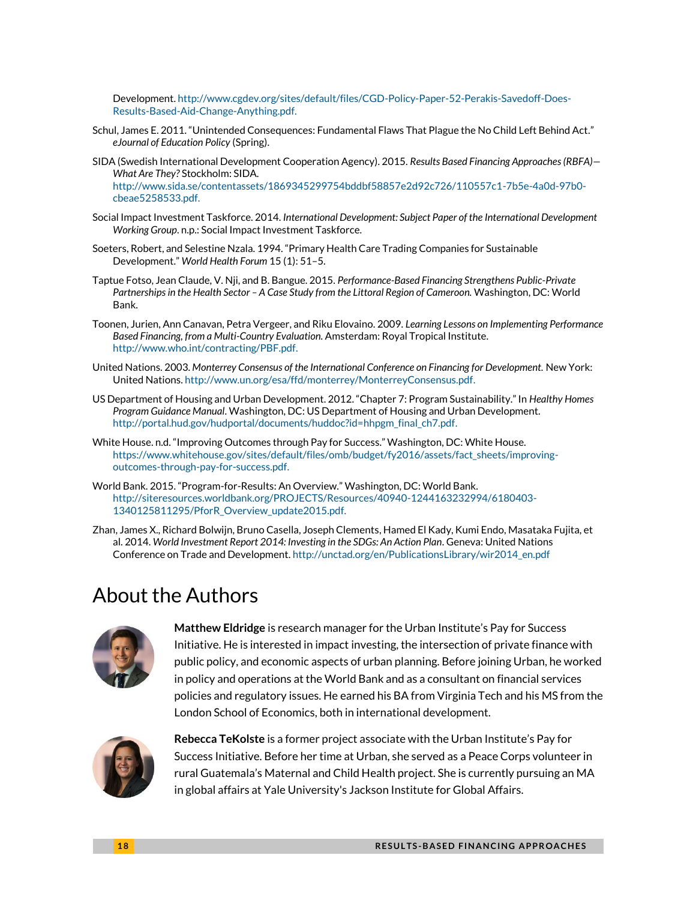Development[. http://www.cgdev.org/sites/default/files/CGD-Policy-Paper-52-Perakis-Savedoff-Does-](http://www.cgdev.org/sites/default/files/CGD-Policy-Paper-52-Perakis-Savedoff-Does-Results-Based-Aid-Change-Anything.pdf)[Results-Based-Aid-Change-Anything.pdf.](http://www.cgdev.org/sites/default/files/CGD-Policy-Paper-52-Perakis-Savedoff-Does-Results-Based-Aid-Change-Anything.pdf)

- Schul, James E. 2011. "Unintended Consequences: Fundamental Flaws That Plague the No Child Left Behind Act." *eJournal of Education Policy* (Spring).
- SIDA (Swedish International Development Cooperation Agency). 2015. *Results Based Financing Approaches (RBFA)— What Are They?* Stockholm: SIDA.

[http://www.sida.se/contentassets/1869345299754bddbf58857e2d92c726/110557c1-7b5e-4a0d-97b0](http://www.sida.se/contentassets/1869345299754bddbf58857e2d92c726/110557c1-7b5e-4a0d-97b0-cbeae5258533.pdf) [cbeae5258533.pdf.](http://www.sida.se/contentassets/1869345299754bddbf58857e2d92c726/110557c1-7b5e-4a0d-97b0-cbeae5258533.pdf)

- Social Impact Investment Taskforce. 2014. *International Development: Subject Paper of the International Development Working Group*. n.p.: Social Impact Investment Taskforce.
- Soeters, Robert, and Selestine Nzala. 1994. "Primary Health Care Trading Companies for Sustainable Development." *World Health Forum* 15 (1): 51–5.
- Taptue Fotso, Jean Claude, V. Nji, and B. Bangue. 2015. *Performance-Based Financing Strengthens Public-Private Partnerships in the Health Sector – A Case Study from the Littoral Region of Cameroon.* Washington, DC: World Bank.
- Toonen, Jurien, Ann Canavan, Petra Vergeer, and Riku Elovaino. 2009. *Learning Lessons on Implementing Performance Based Financing, from a Multi-Country Evaluation.* Amsterdam: Royal Tropical Institute. [http://www.who.int/contracting/PBF.pdf.](http://www.who.int/contracting/PBF.pdf)
- United Nations. 2003. *Monterrey Consensus of the International Conference on Financing for Development.* New York: United Nations[. http://www.un.org/esa/ffd/monterrey/MonterreyConsensus.pdf.](http://www.un.org/esa/ffd/monterrey/MonterreyConsensus.pdf)
- US Department of Housing and Urban Development. 2012. "Chapter 7: Program Sustainability." In *Healthy Homes Program Guidance Manual*. Washington, DC: US Department of Housing and Urban Development. [http://portal.hud.gov/hudportal/documents/huddoc?id=hhpgm\\_final\\_ch7.pdf.](http://portal.hud.gov/hudportal/documents/huddoc?id=hhpgm_final_ch7.pdf)
- White House. n.d. "Improving Outcomes through Pay for Success." Washington, DC: White House. [https://www.whitehouse.gov/sites/default/files/omb/budget/fy2016/assets/fact\\_sheets/improving](https://www.whitehouse.gov/sites/default/files/omb/budget/fy2016/assets/fact_sheets/improving-outcomes-through-pay-for-success.pdf)[outcomes-through-pay-for-success.pdf.](https://www.whitehouse.gov/sites/default/files/omb/budget/fy2016/assets/fact_sheets/improving-outcomes-through-pay-for-success.pdf)
- World Bank. 2015. "Program-for-Results: An Overview." Washington, DC: World Bank. [http://siteresources.worldbank.org/PROJECTS/Resources/40940-1244163232994/6180403-](http://siteresources.worldbank.org/PROJECTS/Resources/40940-1244163232994/6180403-1340125811295/PforR_Overview_update2015.pdf) [1340125811295/PforR\\_Overview\\_update2015.pdf.](http://siteresources.worldbank.org/PROJECTS/Resources/40940-1244163232994/6180403-1340125811295/PforR_Overview_update2015.pdf)
- Zhan, James X., Richard Bolwijn, Bruno Casella, Joseph Clements, Hamed El Kady, Kumi Endo, Masataka Fujita, et al. 2014. *World Investment Report 2014: Investing in the SDGs: An Action Plan*. Geneva: United Nations Conference on Trade and Development[. http://unctad.org/en/PublicationsLibrary/wir2014\\_en.pdf](http://unctad.org/en/PublicationsLibrary/wir2014_en.pdf)

# About the Authors



**Matthew Eldridge** is research manager for the Urban Institute's Pay for Success Initiative. He is interested in impact investing, the intersection of private finance with public policy, and economic aspects of urban planning. Before joining Urban, he worked in policy and operations at the World Bank and as a consultant on financial services policies and regulatory issues. He earned his BA from Virginia Tech and his MS from the London School of Economics, both in international development.



**Rebecca TeKolste** is a former project associate with the Urban Institute's Pay for Success Initiative. Before her time at Urban, she served as a Peace Corps volunteer in rural Guatemala's Maternal and Child Health project. She is currently pursuing an MA in global affairs at Yale University's Jackson Institute for Global Affairs.